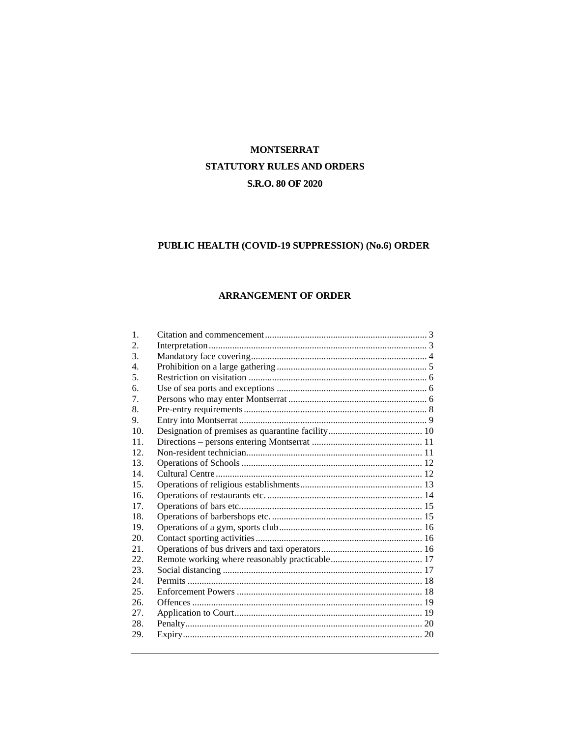### **MONTSERRAT** STATUTORY RULES AND ORDERS S.R.O. 80 OF 2020

### PUBLIC HEALTH (COVID-19 SUPPRESSION) (No.6) ORDER

#### ARRANGEMENT OF ORDER

| 1.  |  |
|-----|--|
| 2.  |  |
| 3.  |  |
| 4.  |  |
| 5.  |  |
| 6.  |  |
| 7.  |  |
| 8.  |  |
| 9.  |  |
| 10. |  |
| 11. |  |
| 12. |  |
| 13. |  |
| 14. |  |
| 15. |  |
| 16. |  |
| 17. |  |
| 18. |  |
| 19. |  |
| 20. |  |
| 21. |  |
| 22. |  |
| 23. |  |
| 24. |  |
| 25. |  |
| 26. |  |
| 27. |  |
| 28. |  |
| 29. |  |
|     |  |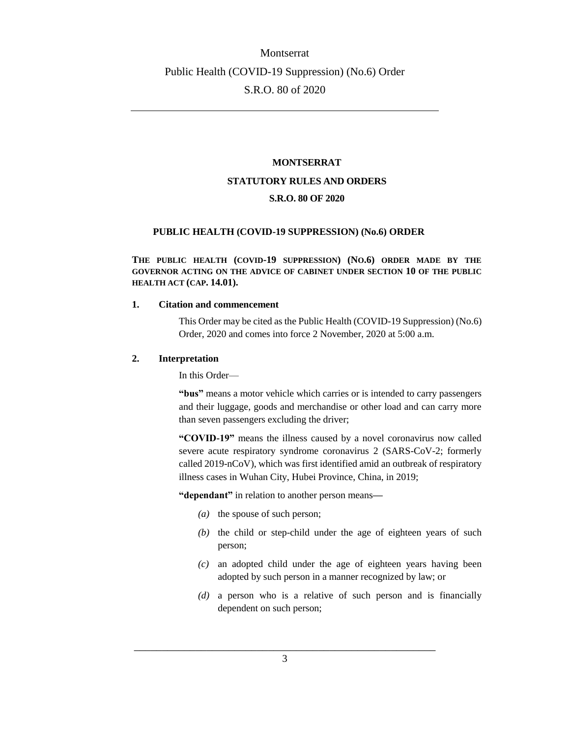#### **MONTSERRAT**

#### **STATUTORY RULES AND ORDERS**

#### **S.R.O. 80 OF 2020**

#### **PUBLIC HEALTH (COVID-19 SUPPRESSION) (No.6) ORDER**

**THE PUBLIC HEALTH (COVID-19 SUPPRESSION) (NO.6) ORDER MADE BY THE GOVERNOR ACTING ON THE ADVICE OF CABINET UNDER SECTION 10 OF THE PUBLIC HEALTH ACT (CAP. 14.01).**

#### <span id="page-1-0"></span>**1. Citation and commencement**

This Order may be cited as the Public Health (COVID-19 Suppression) (No.6) Order, 2020 and comes into force 2 November, 2020 at 5:00 a.m.

#### <span id="page-1-1"></span>**2. Interpretation**

In this Order—

"bus" means a motor vehicle which carries or is intended to carry passengers and their luggage, goods and merchandise or other load and can carry more than seven passengers excluding the driver;

**"COVID-19"** means the illness caused by a novel coronavirus now called severe acute respiratory syndrome coronavirus 2 (SARS-CoV-2; formerly called 2019-nCoV), which was first identified amid an outbreak of respiratory illness cases in Wuhan City, Hubei Province, China, in 2019;

**"dependant"** in relation to another person means**—**

- *(a)* the spouse of such person;
- *(b)* the child or step-child under the age of eighteen years of such person;
- *(c)* an adopted child under the age of eighteen years having been adopted by such person in a manner recognized by law; or
- *(d)* a person who is a relative of such person and is financially dependent on such person;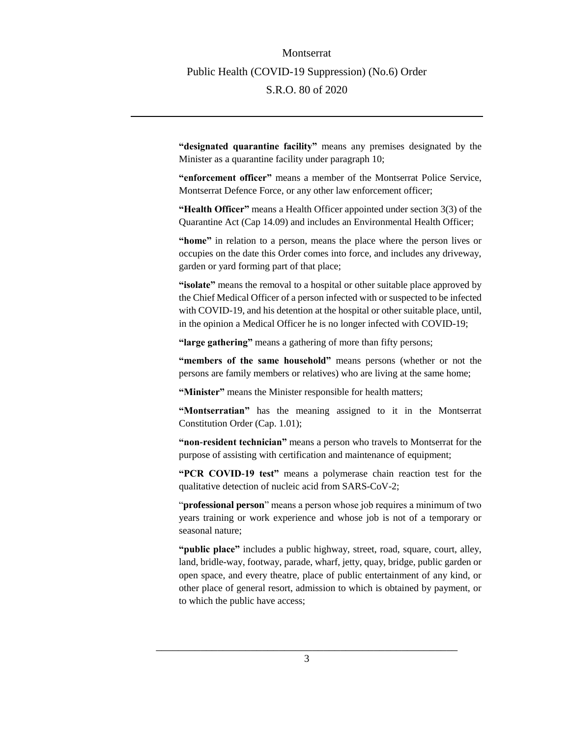**"designated quarantine facility"** means any premises designated by the Minister as a quarantine facility under paragraph 10;

**"enforcement officer"** means a member of the Montserrat Police Service, Montserrat Defence Force, or any other law enforcement officer;

**"Health Officer"** means a Health Officer appointed under section 3(3) of the Quarantine Act (Cap 14.09) and includes an Environmental Health Officer;

**"home"** in relation to a person, means the place where the person lives or occupies on the date this Order comes into force, and includes any driveway, garden or yard forming part of that place;

**"isolate"** means the removal to a hospital or other suitable place approved by the Chief Medical Officer of a person infected with or suspected to be infected with COVID-19, and his detention at the hospital or other suitable place, until, in the opinion a Medical Officer he is no longer infected with COVID-19;

**"large gathering"** means a gathering of more than fifty persons;

**"members of the same household"** means persons (whether or not the persons are family members or relatives) who are living at the same home;

**"Minister"** means the Minister responsible for health matters;

**"Montserratian"** has the meaning assigned to it in the Montserrat Constitution Order (Cap. 1.01);

**"non-resident technician"** means a person who travels to Montserrat for the purpose of assisting with certification and maintenance of equipment;

**"PCR COVID-19 test"** means a polymerase chain reaction test for the qualitative detection of nucleic acid from SARS-CoV-2;

"**professional person**" means a person whose job requires a minimum of two years training or work experience and whose job is not of a temporary or seasonal nature;

**"public place"** includes a public highway, street, road, square, court, alley, land, bridle-way, footway, parade, wharf, jetty, quay, bridge, public garden or open space, and every theatre, place of public entertainment of any kind, or other place of general resort, admission to which is obtained by payment, or to which the public have access;

\_\_\_\_\_\_\_\_\_\_\_\_\_\_\_\_\_\_\_\_\_\_\_\_\_\_\_\_\_\_\_\_\_\_\_\_\_\_\_\_\_\_\_\_\_\_\_\_\_\_\_\_\_\_ 3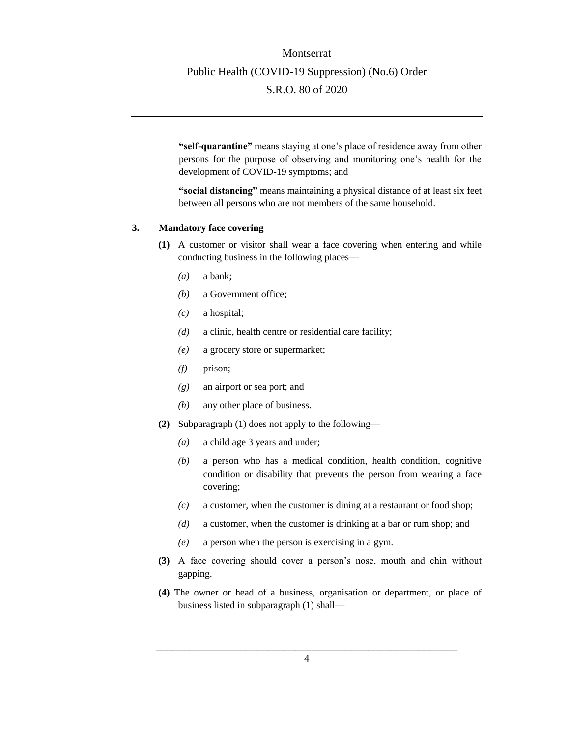**"self-quarantine"** means staying at one's place of residence away from other persons for the purpose of observing and monitoring one's health for the development of COVID-19 symptoms; and

**"social distancing"** means maintaining a physical distance of at least six feet between all persons who are not members of the same household.

#### <span id="page-3-0"></span>**3. Mandatory face covering**

- **(1)** A customer or visitor shall wear a face covering when entering and while conducting business in the following places—
	- *(a)* a bank;
	- *(b)* a Government office;
	- *(c)* a hospital;
	- *(d)* a clinic, health centre or residential care facility;
	- *(e)* a grocery store or supermarket;
	- *(f)* prison;
	- *(g)* an airport or sea port; and
	- *(h)* any other place of business.
- **(2)** Subparagraph (1) does not apply to the following—
	- *(a)* a child age 3 years and under;
	- *(b)* a person who has a medical condition, health condition, cognitive condition or disability that prevents the person from wearing a face covering;
	- *(c)* a customer, when the customer is dining at a restaurant or food shop;
	- *(d)* a customer, when the customer is drinking at a bar or rum shop; and
	- *(e)* a person when the person is exercising in a gym.
- **(3)** A face covering should cover a person's nose, mouth and chin without gapping.
- **(4)** The owner or head of a business, organisation or department, or place of business listed in subparagraph (1) shall—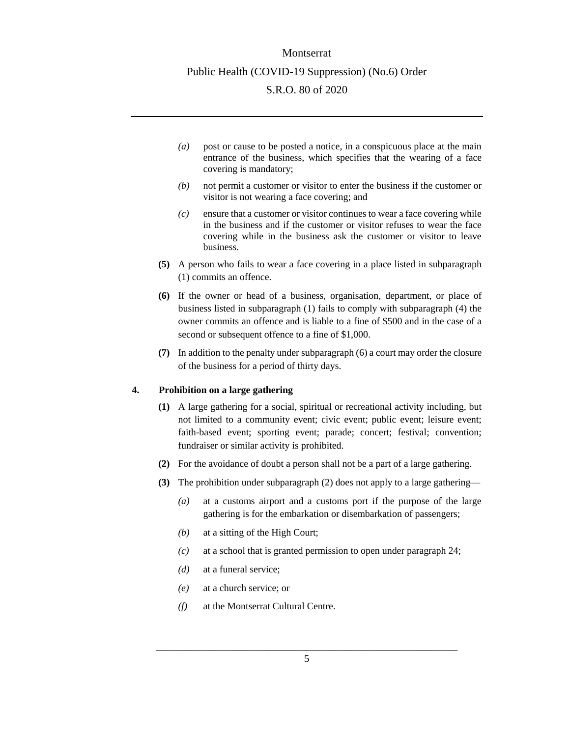- *(a)* post or cause to be posted a notice, in a conspicuous place at the main entrance of the business, which specifies that the wearing of a face covering is mandatory;
- *(b)* not permit a customer or visitor to enter the business if the customer or visitor is not wearing a face covering; and
- *(c)* ensure that a customer or visitor continues to wear a face covering while in the business and if the customer or visitor refuses to wear the face covering while in the business ask the customer or visitor to leave business.
- **(5)** A person who fails to wear a face covering in a place listed in subparagraph (1) commits an offence.
- **(6)** If the owner or head of a business, organisation, department, or place of business listed in subparagraph (1) fails to comply with subparagraph (4) the owner commits an offence and is liable to a fine of \$500 and in the case of a second or subsequent offence to a fine of \$1,000.
- **(7)** In addition to the penalty under subparagraph (6) a court may order the closure of the business for a period of thirty days.

#### <span id="page-4-0"></span>**4. Prohibition on a large gathering**

- **(1)** A large gathering for a social, spiritual or recreational activity including, but not limited to a community event; civic event; public event; leisure event; faith-based event; sporting event; parade; concert; festival; convention; fundraiser or similar activity is prohibited.
- **(2)** For the avoidance of doubt a person shall not be a part of a large gathering.
- **(3)** The prohibition under subparagraph (2) does not apply to a large gathering—
	- *(a)* at a customs airport and a customs port if the purpose of the large gathering is for the embarkation or disembarkation of passengers;
	- *(b)* at a sitting of the High Court;
	- *(c)* at a school that is granted permission to open under paragraph 24;
	- *(d)* at a funeral service;
	- *(e)* at a church service; or
	- *(f)* at the Montserrat Cultural Centre.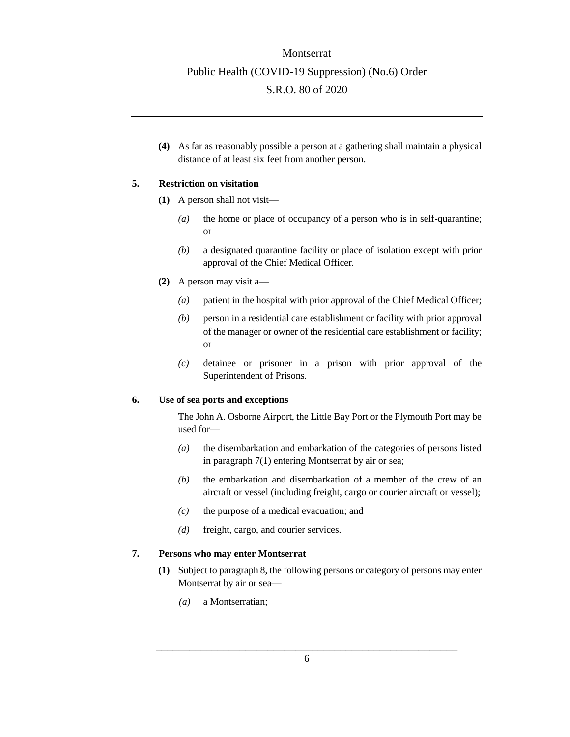**(4)** As far as reasonably possible a person at a gathering shall maintain a physical distance of at least six feet from another person.

#### <span id="page-5-0"></span>**5. Restriction on visitation**

- **(1)** A person shall not visit—
	- *(a)* the home or place of occupancy of a person who is in self-quarantine; or
	- *(b)* a designated quarantine facility or place of isolation except with prior approval of the Chief Medical Officer*.*
- **(2)** A person may visit a—
	- *(a)* patient in the hospital with prior approval of the Chief Medical Officer;
	- *(b)* person in a residential care establishment or facility with prior approval of the manager or owner of the residential care establishment or facility; or
	- *(c)* detainee or prisoner in a prison with prior approval of the Superintendent of Prisons.

#### <span id="page-5-1"></span>**6. Use of sea ports and exceptions**

The John A. Osborne Airport, the Little Bay Port or the Plymouth Port may be used for—

- *(a)* the disembarkation and embarkation of the categories of persons listed in paragraph 7(1) entering Montserrat by air or sea;
- *(b)* the embarkation and disembarkation of a member of the crew of an aircraft or vessel (including freight, cargo or courier aircraft or vessel);
- *(c)* the purpose of a medical evacuation; and
- *(d)* freight, cargo, and courier services.

#### <span id="page-5-2"></span>**7. Persons who may enter Montserrat**

- **(1)** Subject to paragraph 8, the following persons or category of persons may enter Montserrat by air or sea**—**
	- *(a)* a Montserratian;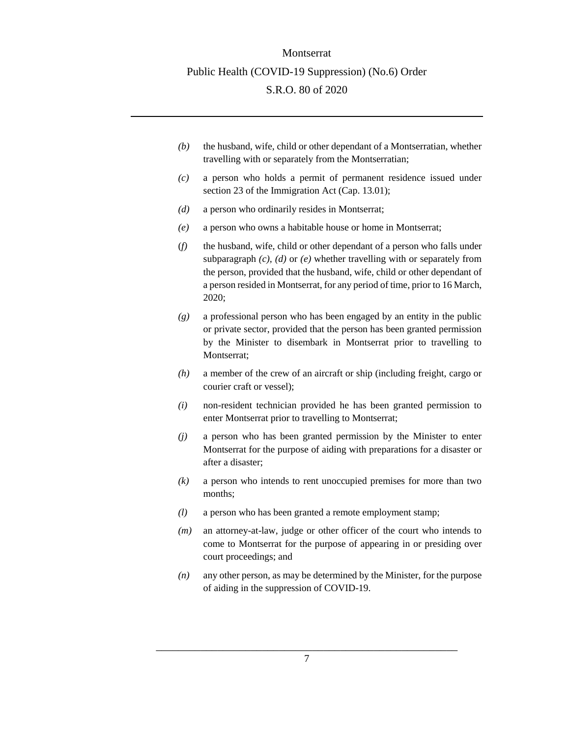- *(b)* the husband, wife, child or other dependant of a Montserratian, whether travelling with or separately from the Montserratian;
- *(c)* a person who holds a permit of permanent residence issued under section 23 of the Immigration Act (Cap. 13.01);
- *(d)* a person who ordinarily resides in Montserrat;
- *(e)* a person who owns a habitable house or home in Montserrat;
- (*f)* the husband, wife, child or other dependant of a person who falls under subparagraph *(c), (d)* or *(e)* whether travelling with or separately from the person, provided that the husband, wife, child or other dependant of a person resided in Montserrat, for any period of time, prior to 16 March, 2020;
- *(g)* a professional person who has been engaged by an entity in the public or private sector, provided that the person has been granted permission by the Minister to disembark in Montserrat prior to travelling to Montserrat;
- *(h)* a member of the crew of an aircraft or ship (including freight, cargo or courier craft or vessel);
- *(i)* non-resident technician provided he has been granted permission to enter Montserrat prior to travelling to Montserrat;
- *(j)* a person who has been granted permission by the Minister to enter Montserrat for the purpose of aiding with preparations for a disaster or after a disaster;
- *(k)* a person who intends to rent unoccupied premises for more than two months;
- *(l)* a person who has been granted a remote employment stamp;
- *(m)* an attorney-at-law, judge or other officer of the court who intends to come to Montserrat for the purpose of appearing in or presiding over court proceedings; and
- *(n)* any other person, as may be determined by the Minister, for the purpose of aiding in the suppression of COVID-19.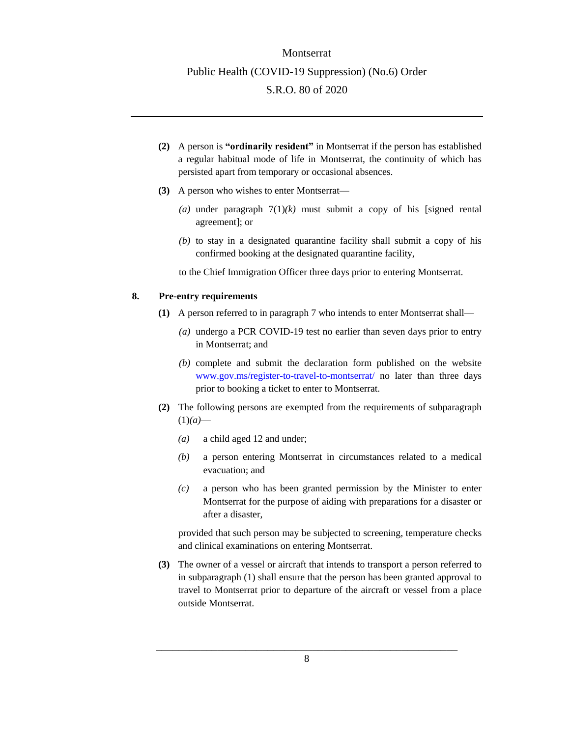- **(2)** A person is **"ordinarily resident"** in Montserrat if the person has established a regular habitual mode of life in Montserrat, the continuity of which has persisted apart from temporary or occasional absences.
- **(3)** A person who wishes to enter Montserrat—
	- (a) under paragraph  $7(1)(k)$  must submit a copy of his [signed rental agreement]; or
	- *(b)* to stay in a designated quarantine facility shall submit a copy of his confirmed booking at the designated quarantine facility,
	- to the Chief Immigration Officer three days prior to entering Montserrat.

#### <span id="page-7-0"></span>**8. Pre-entry requirements**

- **(1)** A person referred to in paragraph 7 who intends to enter Montserrat shall—
	- *(a)* undergo a PCR COVID-19 test no earlier than seven days prior to entry in Montserrat; and
	- *(b)* complete and submit the declaration form published on the website [www.gov.ms/register-to-travel-to-montserrat/](http://www.gov.ms/register-to-travel-to-montserrat/) no later than three days prior to booking a ticket to enter to Montserrat.
- **(2)** The following persons are exempted from the requirements of subparagraph  $(1)(a)$ —
	- *(a)* a child aged 12 and under;
	- *(b)* a person entering Montserrat in circumstances related to a medical evacuation; and
	- *(c)* a person who has been granted permission by the Minister to enter Montserrat for the purpose of aiding with preparations for a disaster or after a disaster,

provided that such person may be subjected to screening, temperature checks and clinical examinations on entering Montserrat.

**(3)** The owner of a vessel or aircraft that intends to transport a person referred to in subparagraph (1) shall ensure that the person has been granted approval to travel to Montserrat prior to departure of the aircraft or vessel from a place outside Montserrat.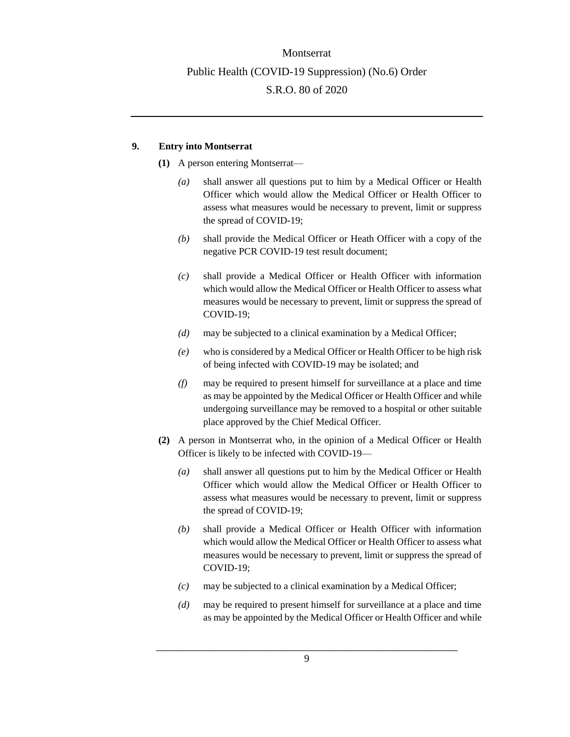### <span id="page-8-0"></span>**9. Entry into Montserrat**

- **(1)** A person entering Montserrat—
	- *(a)* shall answer all questions put to him by a Medical Officer or Health Officer which would allow the Medical Officer or Health Officer to assess what measures would be necessary to prevent, limit or suppress the spread of COVID-19;
	- *(b)* shall provide the Medical Officer or Heath Officer with a copy of the negative PCR COVID-19 test result document;
	- *(c)* shall provide a Medical Officer or Health Officer with information which would allow the Medical Officer or Health Officer to assess what measures would be necessary to prevent, limit or suppress the spread of COVID-19;
	- *(d)* may be subjected to a clinical examination by a Medical Officer;
	- *(e)* who is considered by a Medical Officer or Health Officer to be high risk of being infected with COVID-19 may be isolated; and
	- *(f)* may be required to present himself for surveillance at a place and time as may be appointed by the Medical Officer or Health Officer and while undergoing surveillance may be removed to a hospital or other suitable place approved by the Chief Medical Officer.
- **(2)** A person in Montserrat who, in the opinion of a Medical Officer or Health Officer is likely to be infected with COVID-19—
	- *(a)* shall answer all questions put to him by the Medical Officer or Health Officer which would allow the Medical Officer or Health Officer to assess what measures would be necessary to prevent, limit or suppress the spread of COVID-19;
	- *(b)* shall provide a Medical Officer or Health Officer with information which would allow the Medical Officer or Health Officer to assess what measures would be necessary to prevent, limit or suppress the spread of COVID-19;
	- *(c)* may be subjected to a clinical examination by a Medical Officer;
	- *(d)* may be required to present himself for surveillance at a place and time as may be appointed by the Medical Officer or Health Officer and while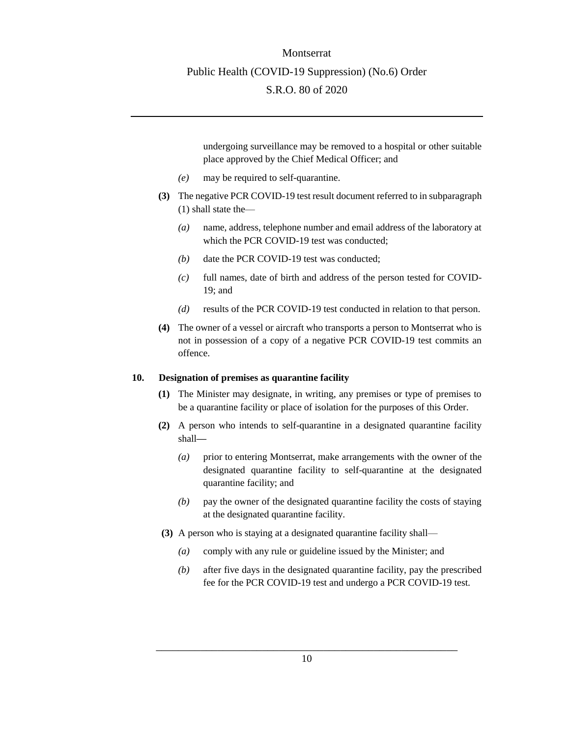undergoing surveillance may be removed to a hospital or other suitable place approved by the Chief Medical Officer; and

- *(e)* may be required to self-quarantine.
- **(3)** The negative PCR COVID-19 test result document referred to in subparagraph (1) shall state the—
	- *(a)* name, address, telephone number and email address of the laboratory at which the PCR COVID-19 test was conducted;
	- *(b)* date the PCR COVID-19 test was conducted;
	- *(c)* full names, date of birth and address of the person tested for COVID-19; and
	- *(d)* results of the PCR COVID-19 test conducted in relation to that person.
- **(4)** The owner of a vessel or aircraft who transports a person to Montserrat who is not in possession of a copy of a negative PCR COVID-19 test commits an offence.

#### <span id="page-9-0"></span>**10. Designation of premises as quarantine facility**

- **(1)** The Minister may designate, in writing, any premises or type of premises to be a quarantine facility or place of isolation for the purposes of this Order.
- **(2)** A person who intends to self-quarantine in a designated quarantine facility shall**—**
	- *(a)* prior to entering Montserrat, make arrangements with the owner of the designated quarantine facility to self-quarantine at the designated quarantine facility; and
	- *(b)* pay the owner of the designated quarantine facility the costs of staying at the designated quarantine facility.
- **(3)** A person who is staying at a designated quarantine facility shall—
	- *(a)* comply with any rule or guideline issued by the Minister; and
	- *(b)* after five days in the designated quarantine facility, pay the prescribed fee for the PCR COVID-19 test and undergo a PCR COVID-19 test.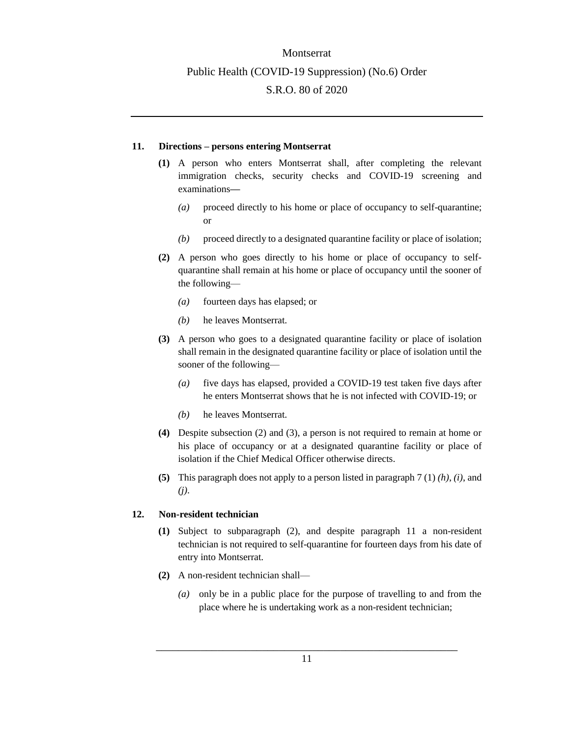#### <span id="page-10-0"></span>**11. Directions – persons entering Montserrat**

- **(1)** A person who enters Montserrat shall, after completing the relevant immigration checks, security checks and COVID-19 screening and examinations**—**
	- *(a)* proceed directly to his home or place of occupancy to self-quarantine; or
	- *(b)* proceed directly to a designated quarantine facility or place of isolation;
- **(2)** A person who goes directly to his home or place of occupancy to selfquarantine shall remain at his home or place of occupancy until the sooner of the following—
	- *(a)* fourteen days has elapsed; or
	- *(b)* he leaves Montserrat.
- **(3)** A person who goes to a designated quarantine facility or place of isolation shall remain in the designated quarantine facility or place of isolation until the sooner of the following—
	- *(a)* five days has elapsed, provided a COVID-19 test taken five days after he enters Montserrat shows that he is not infected with COVID-19; or
	- *(b)* he leaves Montserrat.
- **(4)** Despite subsection (2) and (3), a person is not required to remain at home or his place of occupancy or at a designated quarantine facility or place of isolation if the Chief Medical Officer otherwise directs.
- **(5)** This paragraph does not apply to a person listed in paragraph 7 (1) *(h)*, *(i)*, and *(j)*.

### <span id="page-10-1"></span>**12. Non-resident technician**

- **(1)** Subject to subparagraph (2), and despite paragraph 11 a non-resident technician is not required to self-quarantine for fourteen days from his date of entry into Montserrat.
- **(2)** A non-resident technician shall—
	- *(a)* only be in a public place for the purpose of travelling to and from the place where he is undertaking work as a non-resident technician;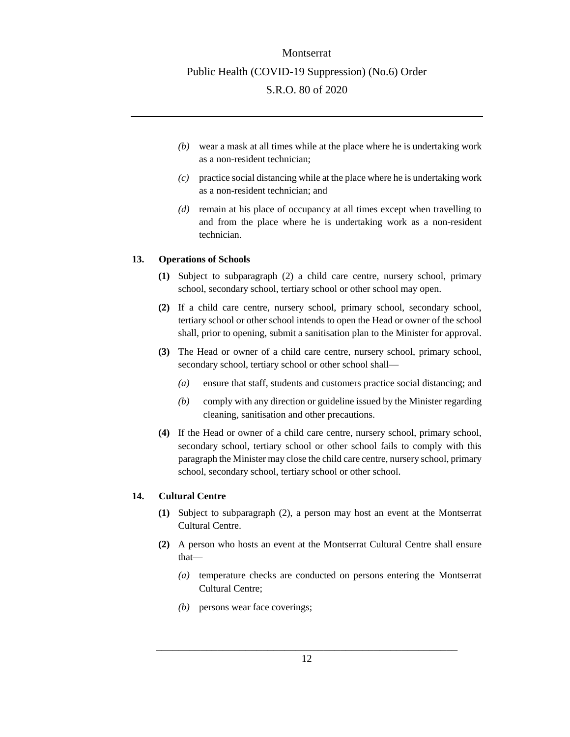- *(b)* wear a mask at all times while at the place where he is undertaking work as a non-resident technician;
- *(c)* practice social distancing while at the place where he is undertaking work as a non-resident technician; and
- *(d)* remain at his place of occupancy at all times except when travelling to and from the place where he is undertaking work as a non-resident technician.

#### <span id="page-11-0"></span>**13. Operations of Schools**

- **(1)** Subject to subparagraph (2) a child care centre, nursery school, primary school, secondary school, tertiary school or other school may open.
- **(2)** If a child care centre, nursery school, primary school, secondary school, tertiary school or other school intends to open the Head or owner of the school shall, prior to opening, submit a sanitisation plan to the Minister for approval.
- **(3)** The Head or owner of a child care centre, nursery school, primary school, secondary school, tertiary school or other school shall—
	- *(a)* ensure that staff, students and customers practice social distancing; and
	- *(b)* comply with any direction or guideline issued by the Minister regarding cleaning, sanitisation and other precautions.
- **(4)** If the Head or owner of a child care centre, nursery school, primary school, secondary school, tertiary school or other school fails to comply with this paragraph the Minister may close the child care centre, nursery school, primary school, secondary school, tertiary school or other school.

### <span id="page-11-1"></span>**14. Cultural Centre**

- **(1)** Subject to subparagraph (2), a person may host an event at the Montserrat Cultural Centre.
- **(2)** A person who hosts an event at the Montserrat Cultural Centre shall ensure that—
	- *(a)* temperature checks are conducted on persons entering the Montserrat Cultural Centre;
	- *(b)* persons wear face coverings;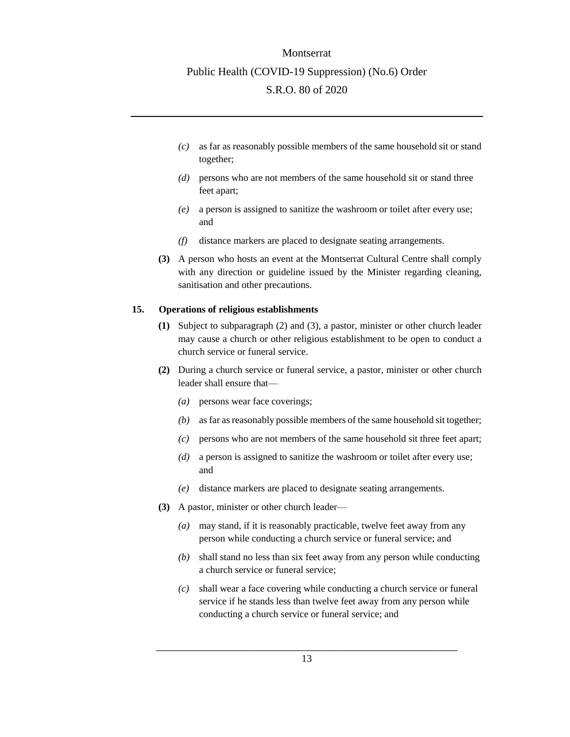- *(c)* as far as reasonably possible members of the same household sit or stand together;
- *(d)* persons who are not members of the same household sit or stand three feet apart;
- *(e)* a person is assigned to sanitize the washroom or toilet after every use; and
- *(f)* distance markers are placed to designate seating arrangements.
- **(3)** A person who hosts an event at the Montserrat Cultural Centre shall comply with any direction or guideline issued by the Minister regarding cleaning, sanitisation and other precautions.

#### <span id="page-12-0"></span>**15. Operations of religious establishments**

- **(1)** Subject to subparagraph (2) and (3), a pastor, minister or other church leader may cause a church or other religious establishment to be open to conduct a church service or funeral service.
- **(2)** During a church service or funeral service, a pastor, minister or other church leader shall ensure that—
	- *(a)* persons wear face coverings;
	- *(b)* as far as reasonably possible members of the same household sit together;
	- *(c)* persons who are not members of the same household sit three feet apart;
	- *(d)* a person is assigned to sanitize the washroom or toilet after every use; and
	- *(e)* distance markers are placed to designate seating arrangements.
- **(3)** A pastor, minister or other church leader—
	- *(a)* may stand, if it is reasonably practicable, twelve feet away from any person while conducting a church service or funeral service; and
	- *(b)* shall stand no less than six feet away from any person while conducting a church service or funeral service;
	- *(c)* shall wear a face covering while conducting a church service or funeral service if he stands less than twelve feet away from any person while conducting a church service or funeral service; and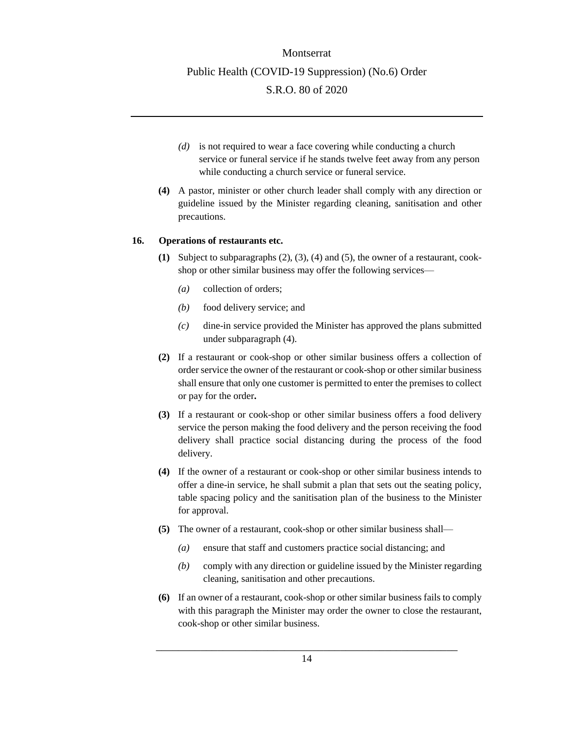- *(d)* is not required to wear a face covering while conducting a church service or funeral service if he stands twelve feet away from any person while conducting a church service or funeral service.
- **(4)** A pastor, minister or other church leader shall comply with any direction or guideline issued by the Minister regarding cleaning, sanitisation and other precautions.

#### <span id="page-13-0"></span>**16. Operations of restaurants etc.**

- **(1)** Subject to subparagraphs (2), (3), (4) and (5), the owner of a restaurant, cookshop or other similar business may offer the following services—
	- *(a)* collection of orders;
	- *(b)* food delivery service; and
	- *(c)* dine-in service provided the Minister has approved the plans submitted under subparagraph (4).
- **(2)** If a restaurant or cook-shop or other similar business offers a collection of order service the owner of the restaurant or cook-shop or other similar business shall ensure that only one customer is permitted to enter the premises to collect or pay for the order**.**
- **(3)** If a restaurant or cook-shop or other similar business offers a food delivery service the person making the food delivery and the person receiving the food delivery shall practice social distancing during the process of the food delivery.
- **(4)** If the owner of a restaurant or cook-shop or other similar business intends to offer a dine-in service, he shall submit a plan that sets out the seating policy, table spacing policy and the sanitisation plan of the business to the Minister for approval.
- **(5)** The owner of a restaurant, cook-shop or other similar business shall—
	- *(a)* ensure that staff and customers practice social distancing; and
	- *(b)* comply with any direction or guideline issued by the Minister regarding cleaning, sanitisation and other precautions.
- **(6)** If an owner of a restaurant, cook-shop or other similar business fails to comply with this paragraph the Minister may order the owner to close the restaurant, cook-shop or other similar business.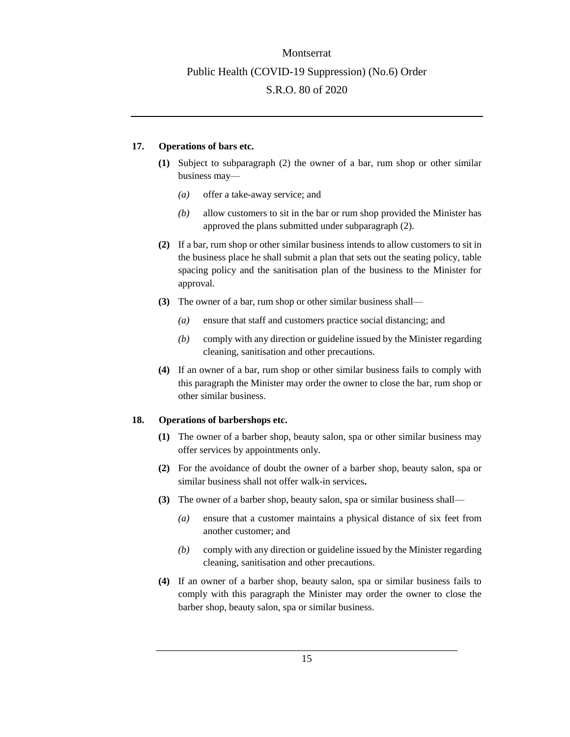#### <span id="page-14-0"></span>**17. Operations of bars etc.**

- **(1)** Subject to subparagraph (2) the owner of a bar, rum shop or other similar business may—
	- *(a)* offer a take-away service; and
	- *(b)* allow customers to sit in the bar or rum shop provided the Minister has approved the plans submitted under subparagraph (2).
- **(2)** If a bar, rum shop or other similar business intends to allow customers to sit in the business place he shall submit a plan that sets out the seating policy, table spacing policy and the sanitisation plan of the business to the Minister for approval.
- **(3)** The owner of a bar, rum shop or other similar business shall—
	- *(a)* ensure that staff and customers practice social distancing; and
	- *(b)* comply with any direction or guideline issued by the Minister regarding cleaning, sanitisation and other precautions.
- **(4)** If an owner of a bar, rum shop or other similar business fails to comply with this paragraph the Minister may order the owner to close the bar, rum shop or other similar business.

#### <span id="page-14-1"></span>**18. Operations of barbershops etc.**

- **(1)** The owner of a barber shop, beauty salon, spa or other similar business may offer services by appointments only.
- **(2)** For the avoidance of doubt the owner of a barber shop, beauty salon, spa or similar business shall not offer walk-in services**.**
- **(3)** The owner of a barber shop, beauty salon, spa or similar business shall—
	- *(a)* ensure that a customer maintains a physical distance of six feet from another customer; and
	- *(b)* comply with any direction or guideline issued by the Minister regarding cleaning, sanitisation and other precautions.
- **(4)** If an owner of a barber shop, beauty salon, spa or similar business fails to comply with this paragraph the Minister may order the owner to close the barber shop, beauty salon, spa or similar business.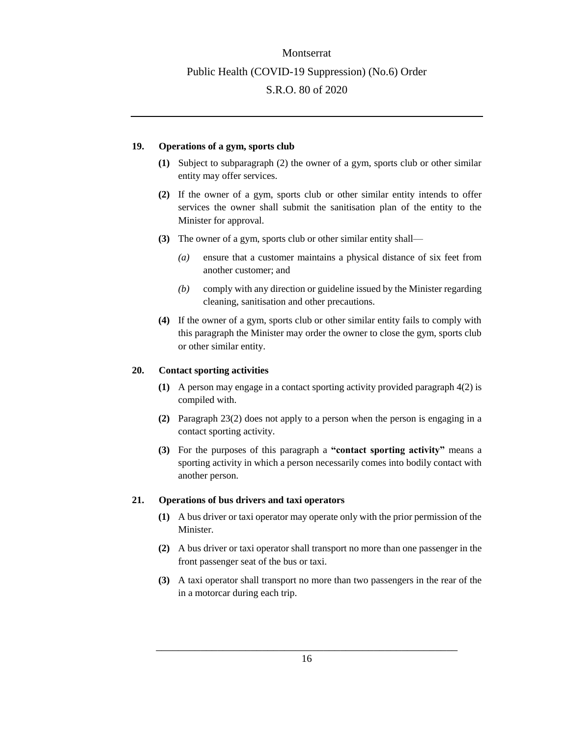#### <span id="page-15-0"></span>**19. Operations of a gym, sports club**

- **(1)** Subject to subparagraph (2) the owner of a gym, sports club or other similar entity may offer services.
- **(2)** If the owner of a gym, sports club or other similar entity intends to offer services the owner shall submit the sanitisation plan of the entity to the Minister for approval.
- **(3)** The owner of a gym, sports club or other similar entity shall—
	- *(a)* ensure that a customer maintains a physical distance of six feet from another customer; and
	- *(b)* comply with any direction or guideline issued by the Minister regarding cleaning, sanitisation and other precautions.
- **(4)** If the owner of a gym, sports club or other similar entity fails to comply with this paragraph the Minister may order the owner to close the gym, sports club or other similar entity.

#### <span id="page-15-1"></span>**20. Contact sporting activities**

- **(1)** A person may engage in a contact sporting activity provided paragraph 4(2) is compiled with.
- **(2)** Paragraph 23(2) does not apply to a person when the person is engaging in a contact sporting activity.
- **(3)** For the purposes of this paragraph a **"contact sporting activity"** means a sporting activity in which a person necessarily comes into bodily contact with another person.

#### <span id="page-15-2"></span>**21. Operations of bus drivers and taxi operators**

- **(1)** A bus driver or taxi operator may operate only with the prior permission of the Minister.
- **(2)** A bus driver or taxi operator shall transport no more than one passenger in the front passenger seat of the bus or taxi.
- **(3)** A taxi operator shall transport no more than two passengers in the rear of the in a motorcar during each trip.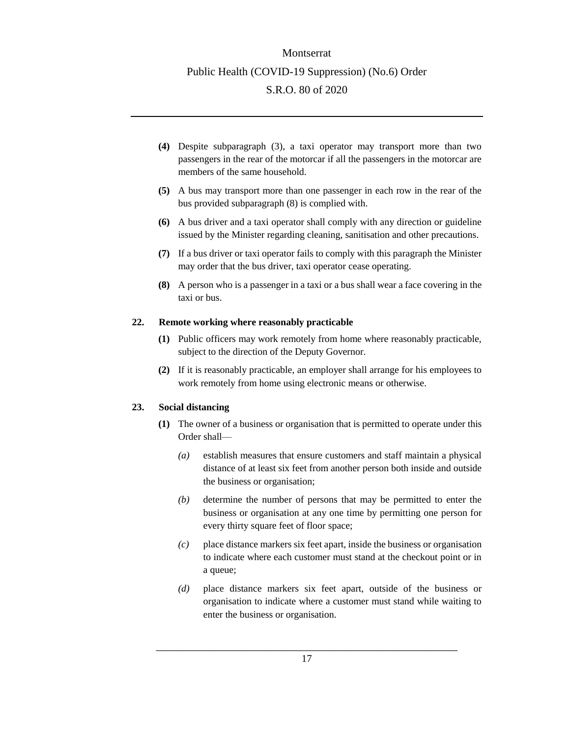- **(4)** Despite subparagraph (3), a taxi operator may transport more than two passengers in the rear of the motorcar if all the passengers in the motorcar are members of the same household.
- **(5)** A bus may transport more than one passenger in each row in the rear of the bus provided subparagraph (8) is complied with.
- **(6)** A bus driver and a taxi operator shall comply with any direction or guideline issued by the Minister regarding cleaning, sanitisation and other precautions.
- **(7)** If a bus driver or taxi operator fails to comply with this paragraph the Minister may order that the bus driver, taxi operator cease operating.
- **(8)** A person who is a passenger in a taxi or a bus shall wear a face covering in the taxi or bus.

#### <span id="page-16-0"></span>**22. Remote working where reasonably practicable**

- **(1)** Public officers may work remotely from home where reasonably practicable, subject to the direction of the Deputy Governor.
- **(2)** If it is reasonably practicable, an employer shall arrange for his employees to work remotely from home using electronic means or otherwise.

### <span id="page-16-1"></span>**23. Social distancing**

- **(1)** The owner of a business or organisation that is permitted to operate under this Order shall—
	- *(a)* establish measures that ensure customers and staff maintain a physical distance of at least six feet from another person both inside and outside the business or organisation;
	- *(b)* determine the number of persons that may be permitted to enter the business or organisation at any one time by permitting one person for every thirty square feet of floor space;
	- *(c)* place distance markers six feet apart, inside the business or organisation to indicate where each customer must stand at the checkout point or in a queue;
	- *(d)* place distance markers six feet apart, outside of the business or organisation to indicate where a customer must stand while waiting to enter the business or organisation.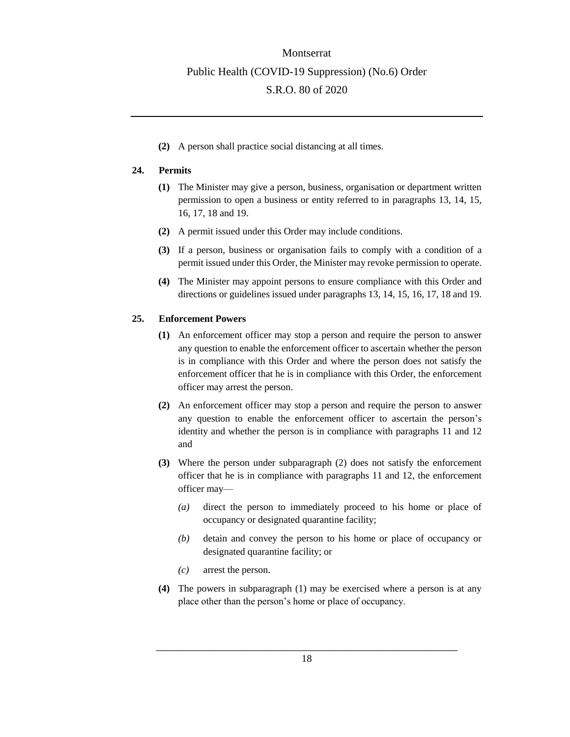**(2)** A person shall practice social distancing at all times.

#### <span id="page-17-0"></span>**24. Permits**

- **(1)** The Minister may give a person, business, organisation or department written permission to open a business or entity referred to in paragraphs 13, 14, 15, 16, 17, 18 and 19.
- **(2)** A permit issued under this Order may include conditions.
- **(3)** If a person, business or organisation fails to comply with a condition of a permit issued under this Order, the Minister may revoke permission to operate.
- **(4)** The Minister may appoint persons to ensure compliance with this Order and directions or guidelines issued under paragraphs 13, 14, 15, 16, 17, 18 and 19.

#### <span id="page-17-1"></span>**25. Enforcement Powers**

- **(1)** An enforcement officer may stop a person and require the person to answer any question to enable the enforcement officer to ascertain whether the person is in compliance with this Order and where the person does not satisfy the enforcement officer that he is in compliance with this Order, the enforcement officer may arrest the person.
- **(2)** An enforcement officer may stop a person and require the person to answer any question to enable the enforcement officer to ascertain the person's identity and whether the person is in compliance with paragraphs 11 and 12 and
- **(3)** Where the person under subparagraph (2) does not satisfy the enforcement officer that he is in compliance with paragraphs 11 and 12, the enforcement officer may—
	- *(a)* direct the person to immediately proceed to his home or place of occupancy or designated quarantine facility;
	- *(b)* detain and convey the person to his home or place of occupancy or designated quarantine facility; or
	- *(c)* arrest the person.
- **(4)** The powers in subparagraph (1) may be exercised where a person is at any place other than the person's home or place of occupancy.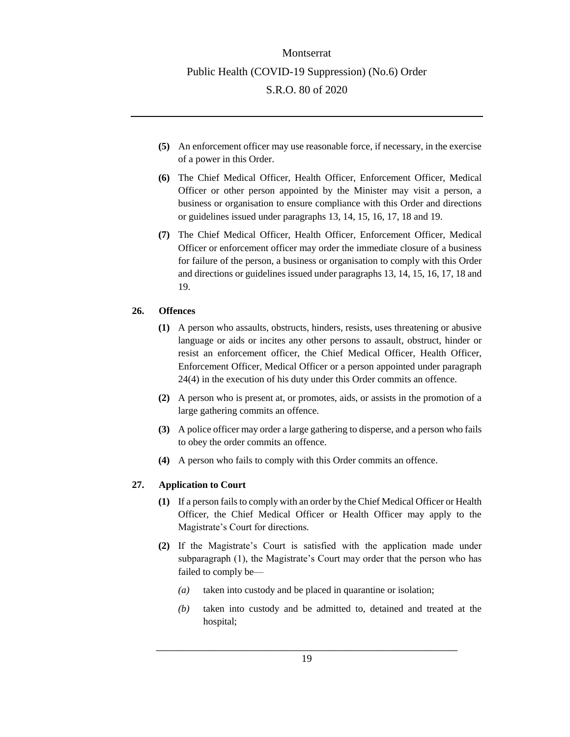- **(5)** An enforcement officer may use reasonable force, if necessary, in the exercise of a power in this Order.
- **(6)** The Chief Medical Officer, Health Officer, Enforcement Officer, Medical Officer or other person appointed by the Minister may visit a person, a business or organisation to ensure compliance with this Order and directions or guidelines issued under paragraphs 13, 14, 15, 16, 17, 18 and 19.
- **(7)** The Chief Medical Officer, Health Officer, Enforcement Officer, Medical Officer or enforcement officer may order the immediate closure of a business for failure of the person, a business or organisation to comply with this Order and directions or guidelines issued under paragraphs 13, 14, 15, 16, 17, 18 and 19.

### <span id="page-18-0"></span>**26. Offences**

- **(1)** A person who assaults, obstructs, hinders, resists, uses threatening or abusive language or aids or incites any other persons to assault, obstruct, hinder or resist an enforcement officer, the Chief Medical Officer, Health Officer, Enforcement Officer, Medical Officer or a person appointed under paragraph 24(4) in the execution of his duty under this Order commits an offence.
- **(2)** A person who is present at, or promotes, aids, or assists in the promotion of a large gathering commits an offence.
- **(3)** A police officer may order a large gathering to disperse, and a person who fails to obey the order commits an offence.
- **(4)** A person who fails to comply with this Order commits an offence.

### <span id="page-18-1"></span>**27. Application to Court**

- **(1)** If a person fails to comply with an order by the Chief Medical Officer or Health Officer, the Chief Medical Officer or Health Officer may apply to the Magistrate's Court for directions.
- **(2)** If the Magistrate's Court is satisfied with the application made under subparagraph (1), the Magistrate's Court may order that the person who has failed to comply be—
	- *(a)* taken into custody and be placed in quarantine or isolation;
	- *(b)* taken into custody and be admitted to, detained and treated at the hospital;